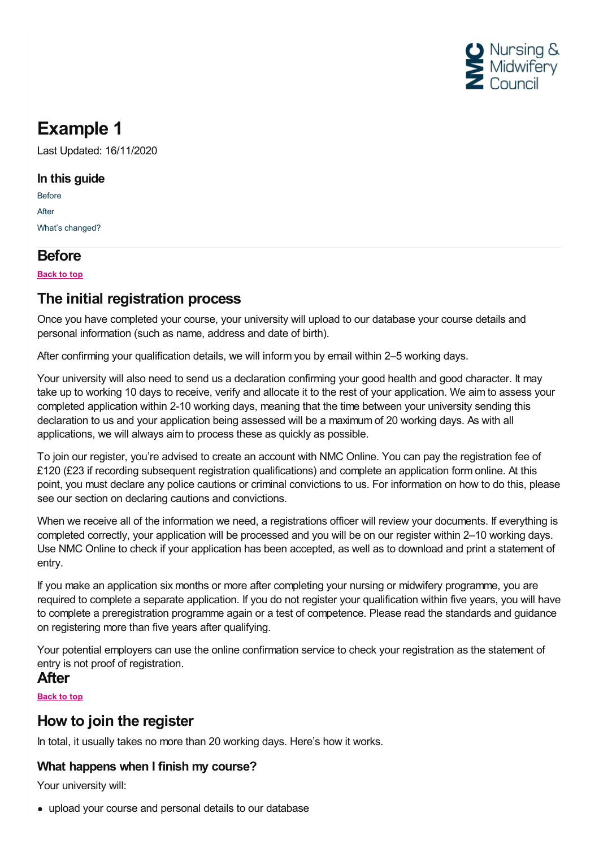

# **Example 1**

Last Updated: 16/11/2020

#### **In this guide**

[Before](#page-0-0) [After](#page-0-1) What's [changed?](#page-1-0)

# <span id="page-0-0"></span>**Before**

**Back to top**

# **The initial registration process**

Once you have completed your course, your university will upload to our database your course details and personal information (such as name, address and date of birth).

After confirming your qualification details, we will inform you by email within 2–5 working days.

Your university will also need to send us a declaration confirming your good health and good character. It may take up to working 10 days to receive, verify and allocate it to the rest of your application. We aim to assess your completed application within 2-10 working days, meaning that the time between your university sending this declaration to us and your application being assessed will be a maximum of 20 working days. As with all applications, we will always aim to process these as quickly as possible.

To join our register, you're advised to create an account with NMC Online. You can pay the registration fee of £120 (£23 if recording subsequent registration qualifications) and complete an application form online. At this point, you must declare any police cautions or criminal convictions to us. For information on how to do this, please see our section on declaring cautions and convictions.

When we receive all of the information we need, a registrations officer will review your documents. If everything is completed correctly, your application will be processed and you will be on our register within 2–10 working days. Use NMC Online to check if your application has been accepted, as well as to download and print a statement of entry.

If you make an application six months or more after completing your nursing or midwifery programme, you are required to complete a separate application. If you do not register your qualification within five years, you will have to complete a preregistration programme again or a test of competence. Please read the standards and guidance on registering more than five years after qualifying.

Your potential employers can use the online confirmation service to check your registration as the statement of entry is not proof of registration.

### <span id="page-0-1"></span>**After**

**Back to top**

# **How to join the register**

In total, it usually takes no more than 20 working days. Here's how it works.

### **What happens when I finish my course?**

Your university will:

upload your course and personal details to our database